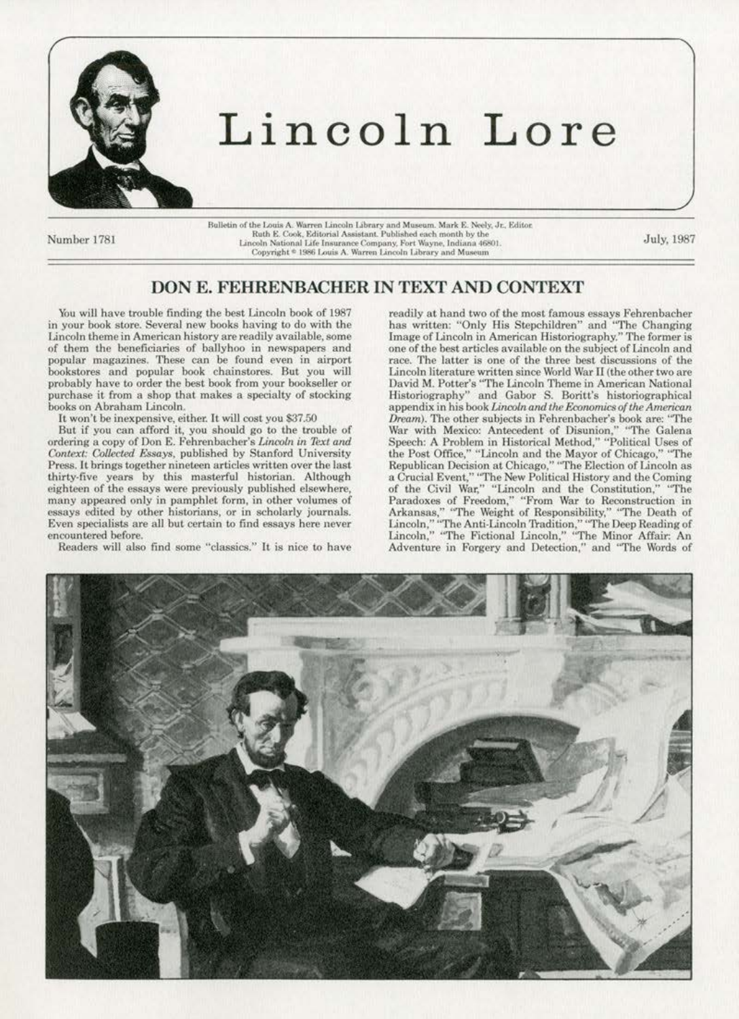

## Lincoln Lore

Number 1781

Bulletin of the Louis A. Warren Lincoln Library and Museum. Mark E. Neely, Jr., Editor. Ruth E. Cook, Editorial Assistant. Published each month by the Lincoln National Life Insurance Company, Fort Wayne, Indiana 46801.<br>Copyright \* 1986 Louis A. Warren Lincoln Library and Museum

July, 1987

## DON E. FEHRENBACHER IN TEXT AND CONTEXT

You will have trouble finding the best Lincoln book of 1987 in your book store. Several new books having to do with the Lincoln theme in American history are readily available, some of them the beneficiaries of ballyhoo in newspapers and popular magazines. These can be found even in airport bookstores and popular book chainstores. But you will probably have to order the best book from your bookseller or purchase it from a shop that makes a specialty of stocking books on Abraham Lincoln.

It won't be inexpensive, either. It will cost you \$37.50

But if you can afford it, you should go to the trouble of ordering a copy of Don E. Fehrenbacher's Lincoln in Text and Context: Collected Essays, published by Stanford University Press. It brings together nineteen articles written over the last thirty-five years by this masterful historian. Although eighteen of the essays were previously published elsewhere, many appeared only in pamphlet form, in other volumes of essays edited by other historians, or in scholarly journals. Even specialists are all but certain to find essays here never encountered before.

Readers will also find some "classics." It is nice to have

readily at hand two of the most famous essays Fehrenbacher has written: "Only His Stepchildren" and "The Changing<br>Image of Lincoln in American Historiography," The former is one of the best articles available on the subject of Lincoln and race. The latter is one of the three best discussions of the Lincoln literature written since World War II (the other two are David M. Potter's "The Lincoln Theme in American National Historiography" and Gabor S. Boritt's historiographical appendix in his book Lincoln and the Economics of the American Dream). The other subjects in Fehrenbacher's book are: "The War with Mexico: Antecedent of Disunion," "The Galena Speech: A Problem in Historical Method," "Political Uses of<br>the Post Office," "Lincoln and the Mayor of Chicago," "The<br>Republican Decision at Chicago," "The Election of Lincoln as a Crucial Event," "The New Political History and the Coming<br>of the Civil War," "Lincoln and the Constitution," "The Paradoxes of Freedom," "From War to Reconstruction in<br>Arkansas," "The Weight of Responsibility," "The Death of<br>Lincoln," "The Anti-Lincoln Tradition," "The Deep Reading of<br>Lincoln," "The Fictional Lincoln," "The Minor Affa Adventure in Forgery and Detection," and "The Words of

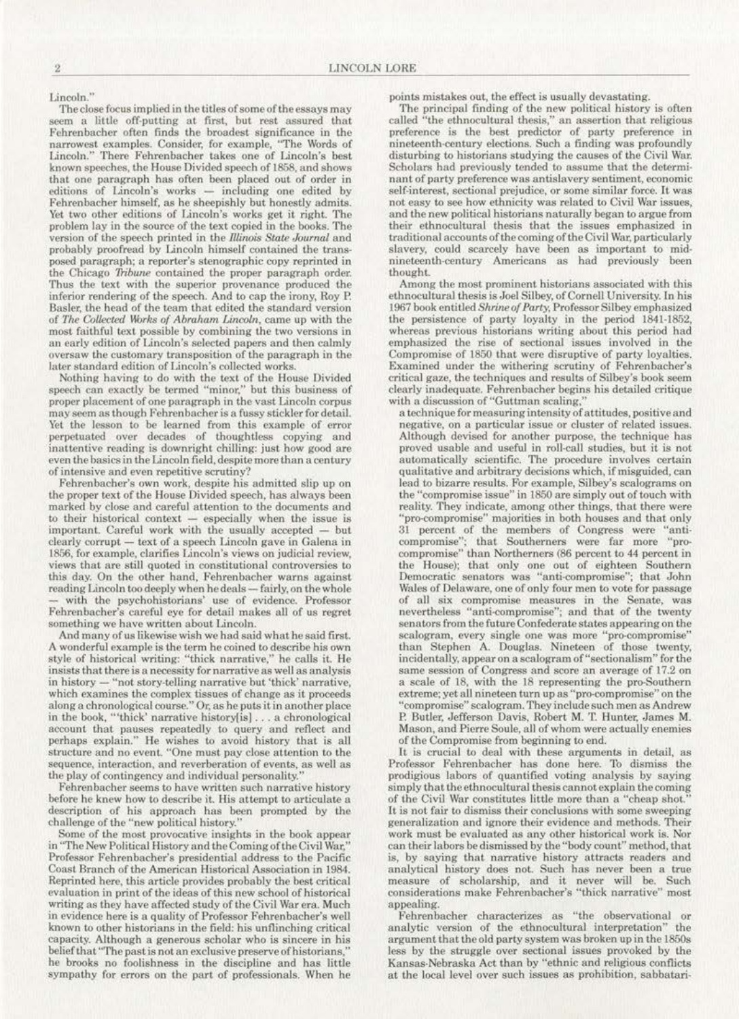Lincoln."

The close focus implied in the titles of some of the essays may seem a little off-putting at first, but rest assured that Fehrenbacher often finds the broadest significance in the narrowest examples. Consider, for example, "The Words of Lincoln." There Fehrenbacher takes one of Lincoln's best known speeches, the House Divided speech of 1858, and shows that one paragraph has often been placed out of order in editions of Lincoln's works - including one edited by Fehrenbacher himself, as he sheepishly but honestly admits. Yet two other editions of Lincoln's works get it right. The problem lay in the source of the text copied in the books. The version of the speech printed in the Illinois State Journal and probably proofread by Lincoln himself contained the transposed paragraph; a reporter's stenographic copy reprinted in the Chicago Tribune contained the proper paragraph order. Thus the text with the superior provenance produced the inferior rendering of the speech. And to cap the irony, Roy P. Basler, the head of the team that edited the standard version of The Collected Works of Abraham Lincoln, came up with the most faithful text possible by combining the two versions in an early edition of Lincoln's selected papers and then calmly oversaw the customary transposition of the paragraph in the later standard edition of Lincoln's collected works.

Nothing having to do with the text of the House Divided speech can exactly be termed "minor," but this business of proper placement of one paragraph in the vast Lincoln corpus may seem as though Fehrenbacher is a fussy stickler for detail. Yet the lesson to be learned from this example of error perpetuated over decades of thoughtless copying and inattentive reading is downright chilling: just how good are even the basics in the Lincoln field, despite more than a century of intensive and even repetitive scrutiny?

Fehrenbacher's own work, despite his admitted slip up on<br>the proper text of the House Divided speech, has always been marked by close and careful attention to the documents and to their historical context - especially when the issue is important. Careful work with the usually accepted -- but clearly corrupt - text of a speech Lincoln gave in Galena in 1856, for example, clarifies Lincoln's views on judicial review, views that are still quoted in constitutional controversies to this day. On the other hand, Fehrenbacher warns against reading Lincoln too deeply when he deals - fairly, on the whole with the psychohistorians' use of evidence. Professor Fehrenbacher's careful eye for detail makes all of us regret something we have written about Lincoln.

And many of us likewise wish we had said what he said first. A wonderful example is the term he coined to describe his own<br>style of historical writing: "thick narrative," he calls it. He<br>insists that there is a necessity for narrative as well as analysis in history - "not story-telling narrative but 'thick' narrative, which examines the complex tissues of change as it proceeds<br>along a chronological course." Or, as he puts it in another place in the book, "'thick' narrative history[is]... a chronological account that pauses repeatedly to query and reflect and perhaps explain." He wishes to avoid history that is all structure and no event. "One must pay close attention to the sequence, interaction, and reverberation of events, as well as the play of contingency and individual personality.

Fehrenbacher seems to have written such narrative history before he knew how to describe it. His attempt to articulate a description of his approach has been prompted by the challenge of the "new political history.

Some of the most provocative insights in the book appear in "The New Political History and the Coming of the Civil War," Professor Fehrenbacher's presidential address to the Pacific Coast Branch of the American Historical Association in 1984. Reprinted here, this article provides probably the best critical evaluation in print of the ideas of this new school of historical writing as they have affected study of the Civil War era. Much in evidence here is a quality of Professor Fehrenbacher's well known to other historians in the field: his unflinching critical capacity. Although a generous scholar who is sincere in his belief that "The past is not an exclusive preserve of historians," he brooks no foolishness in the discipline and has little sympathy for errors on the part of professionals. When he

points mistakes out, the effect is usually devastating.

The principal finding of the new political history is often called "the ethnocultural thesis," an assertion that religious preference is the best predictor of party preference in nineteenth-century elections. Such a finding was profoundly disturbing to historians studying the causes of the Civil War. Scholars had previously tended to assume that the determinant of party preference was antislavery sentiment, economic self-interest, sectional prejudice, or some similar force. It was not easy to see how ethnicity was related to Civil War issues. and the new political historians naturally began to argue from their ethnocultural thesis that the issues emphasized in traditional accounts of the coming of the Civil War, particularly slavery, could scarcely have been as important to midnineteenth-century Americans as had previously been thought.

Among the most prominent historians associated with this ethnocultural thesis is Joel Silbey, of Cornell University. In his 1967 book entitled Shrine of Party, Professor Silbey emphasized the persistence of party loyalty in the period 1841-1852, whereas previous historians writing about this period had emphasized the rise of sectional issues involved in the Compromise of 1850 that were disruptive of party loyalties. Examined under the withering scrutiny of Fehrenbacher's critical gaze, the techniques and results of Silbey's book seem clearly inadequate. Fehrenbacher begins his detailed critique with a discussion of "Guttman scaling."

a technique for measuring intensity of attitudes, positive and negative, on a particular issue or cluster of related issues. Although devised for another purpose, the technique has proved usable and useful in roll-call studies, but it is not automatically scientific. The procedure involves certain qualitative and arbitrary decisions which, if misguided, can lead to bizarre results. For example, Silbey's scalograms on the "compromise issue" in 1850 are simply out of touch with reality. They indicate, among other things, that there were 'pro-compromise" majorities in both houses and that only 31 percent of the members of Congress were 'anticompromise"; that Southerners were far more "procompromise" than Northerners (86 percent to 44 percent in the House); that only one out of eighteen Southern Democratic senators was "anti-compromise"; that John Wales of Delaware, one of only four men to vote for passage of all six compromise measures in the Senate, was nevertheless "anti-compromise"; and that of the twenty senators from the future Confederate states appearing on the scalogram, every single one was more "pro-compromise" than Stephen A. Douglas. Nineteen of those twenty, incidentally, appear on a scalogram of "sectionalism" for the same session of Congress and score an average of 17.2 on a scale of 18, with the 18 representing the pro-Southern extreme; yet all nineteen turn up as "pro-compromise" on the "compromise" scalogram. They include such men as Andrew P. Butler, Jefferson Davis, Robert M. T. Hunter, James M. Mason, and Pierre Soule, all of whom were actually enemies of the Compromise from beginning to end.

It is crucial to deal with these arguments in detail, as Professor Fehrenbacher has done here. To dismiss the prodigious labors of quantified voting analysis by saying simply that the ethnocultural thesis cannot explain the coming of the Civil War constitutes little more than a "cheap shot." It is not fair to dismiss their conclusions with some sweeping generalization and ignore their evidence and methods. Their work must be evaluated as any other historical work is. Nor can their labors be dismissed by the "body count" method, that is, by saying that narrative history attracts readers and analytical history does not. Such has never been a true measure of scholarship, and it never will be. Such considerations make Fehrenbacher's "thick narrative" most appealing.

Fehrenbacher characterizes as "the observational or analytic version of the ethnocultural interpretation" the argument that the old party system was broken up in the 1850s less by the struggle over sectional issues provoked by the Kansas-Nebraska Act than by "ethnic and religious conflicts at the local level over such issues as prohibition, sabbatari-

 $\overline{\mathbf{2}}$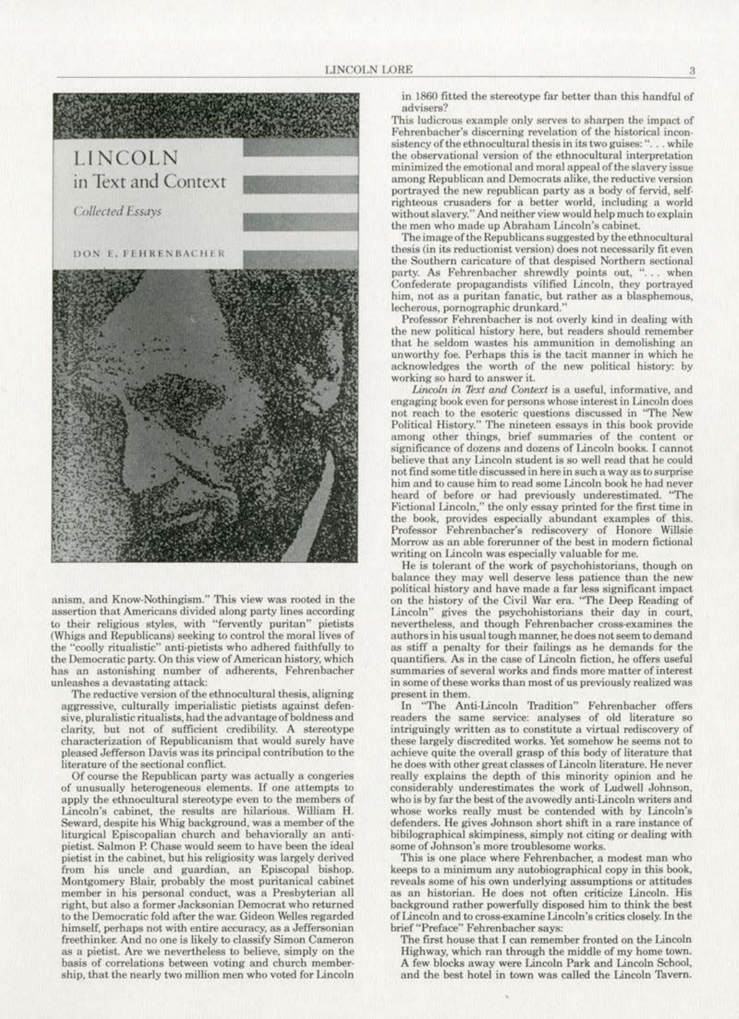

anism, and Know-Nothingism." This view was rooted in the assertion that Americans divided along party lines according to their religious styles, with "fervently puritan" pietists (Whigs and Republicans) seeking to control the moral lives of the "coolly ritualistic" anti-pietists who adhered faithfully to the Democratic party. On this view of American history, which has an astonishing number of adherents, Fehrenbacher unleashes a devastating attack:

The reductive version of the ethnocultural thesis, aligning aggressive, culturally imperialistic pietists against defensive, pluralistic ritualists, had the advantage of boldness and clarity, but not of sufficient credibility. A stereotype characterization of Republicanism that would surely have pleased Jefferson Davis was its principal contribution to the literature of the sectional conflict.

Of course the Republican party was actually a congeries of unusually heterogeneous elements. If one attempts to apply the ethnocultural stereotype even to the members of Lincoln's cabinet, the results are hilarious. William H. Seward, despite his Whig background, was a member of the liturgical Episcopalian church and behaviorally an antipietist. Salmon P. Chase would seem to have been the ideal pietist in the cabinet, but his religiosity was largely derived from his uncle and guardian, an Episcopal bishop. Montgomery Blair, probably the most puritanical cabinet member in his personal conduct, was a Presbyterian all right, but also a former Jacksonian Democrat who returned to the Democratic fold after the war. Gideon Welles regarded himself, perhaps not with entire accuracy, as a Jeffersonian freethinker. And no one is likely to classify Simon Cameron as a pietist. Are we nevertheless to believe, simply on the basis of correlations between voting and church membership, that the nearly two million men who voted for Lincoln in 1860 fitted the stereotype far better than this handful of advisers?

This ludicrous example only serves to sharpen the impact of Fehrenbacher's discerning revelation of the historical inconsistency of the ethnocultural thesis in its two guises: "... while the observational version of the ethnocultural interpretation minimized the emotional and moral appeal of the slavery issue among Republican and Democrats alike, the reductive version portrayed the new republican party as a body of fervid, selfrighteous crusaders for a better world, including a world without slavery." And neither view would help much to explain the men who made up Abraham Lincoln's cabinet.

The image of the Republicans suggested by the ethnocultural thesis (in its reductionist version) does not necessarily fit even the Southern caricature of that despised Northern sectional party. As Fehrenbacher shrewdly points out, "... when<br>Confederate propagandists vilified Lincoln, they portrayed him, not as a puritan fanatic, but rather as a blasphemous, lecherous, pornographic drunkard.'

Professor Fehrenbacher is not overly kind in dealing with the new political history here, but readers should remember that he seldom wastes his ammunition in demolishing an unworthy foe. Perhaps this is the tacit manner in which he acknowledges the worth of the new political history: by working so hard to answer it.

Lincoln in Text and Context is a useful, informative, and engaging book even for persons whose interest in Lincoln does not reach to the esoteric questions discussed in "The New Political History." The nineteen essays in this book provide among other things, brief summaries of the content or significance of dozens and dozens of Lincoln books. I cannot believe that any Lincoln student is so well read that he could not find some title discussed in here in such a way as to surprise him and to cause him to read some Lincoln book he had never heard of before or had previously underestimated. "The Fictional Lincoln," the only essay printed for the first time in the book, provides especially abundant examples of this. Professor Fehrenbacher's rediscovery of Honore Willsie Morrow as an able forerunner of the best in modern fictional writing on Lincoln was especially valuable for me.

He is tolerant of the work of psychohistorians, though on balance they may well deserve less patience than the new political history and have made a far less significant impact on the history of the Civil War era. "The Deep Reading of Lincoln" gives the psychohistorians their day in court, nevertheless, and though Fehrenbacher cross-examines the authors in his usual tough manner, he does not seem to demand as stiff a penalty for their failings as he demands for the quantifiers. As in the case of Lincoln fiction, he offers useful summaries of several works and finds more matter of interest in some of these works than most of us previously realized was present in them.

In "The Anti-Lincoln Tradition" Fehrenbacher offers readers the same service: analyses of old literature so intriguingly written as to constitute a virtual rediscovery of these largely discredited works. Yet somehow he seems not to achieve quite the overall grasp of this body of literature that he does with other great classes of Lincoln literature. He never really explains the depth of this minority opinion and he considerably underestimates the work of Ludwell Johnson, who is by far the best of the avowedly anti-Lincoln writers and whose works really must be contended with by Lincoln's defenders. He gives Johnson short shift in a rare instance of bibilographical skimpiness, simply not citing or dealing with some of Johnson's more troublesome works.

This is one place where Fehrenbacher, a modest man who keeps to a minimum any autobiographical copy in this book, reveals some of his own underlying assumptions or attitudes as an historian. He does not often criticize Lincoln. His background rather powerfully disposed him to think the best of Lincoln and to cross-examine Lincoln's critics closely. In the brief "Preface" Fehrenbacher says:

The first house that I can remember fronted on the Lincoln Highway, which ran through the middle of my home town. A few blocks away were Lincoln Park and Lincoln School, and the best hotel in town was called the Lincoln Tavern.